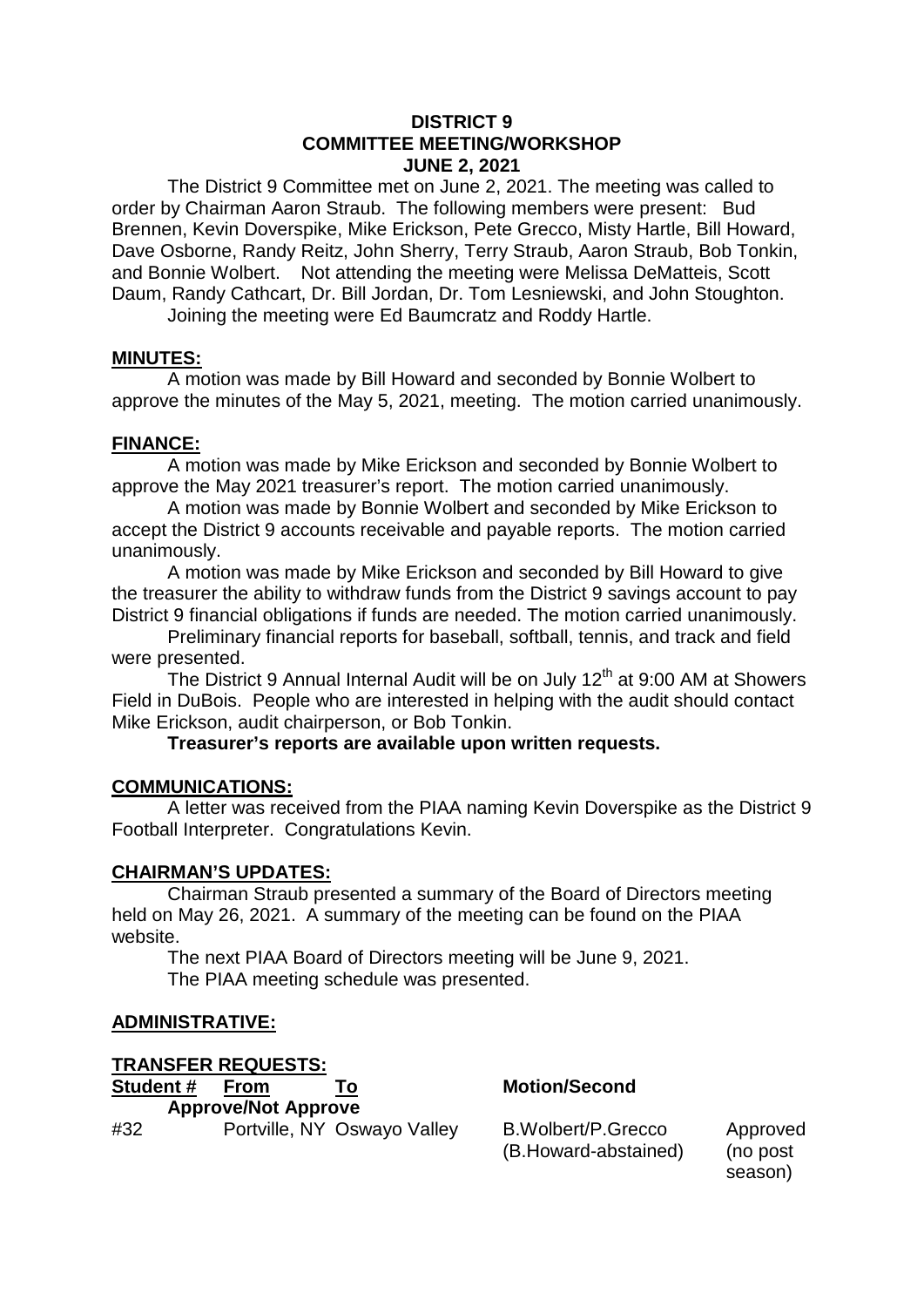### **DISTRICT 9 COMMITTEE MEETING/WORKSHOP JUNE 2, 2021**

The District 9 Committee met on June 2, 2021. The meeting was called to order by Chairman Aaron Straub. The following members were present: Bud Brennen, Kevin Doverspike, Mike Erickson, Pete Grecco, Misty Hartle, Bill Howard, Dave Osborne, Randy Reitz, John Sherry, Terry Straub, Aaron Straub, Bob Tonkin, and Bonnie Wolbert. Not attending the meeting were Melissa DeMatteis, Scott Daum, Randy Cathcart, Dr. Bill Jordan, Dr. Tom Lesniewski, and John Stoughton.

Joining the meeting were Ed Baumcratz and Roddy Hartle.

## **MINUTES:**

A motion was made by Bill Howard and seconded by Bonnie Wolbert to approve the minutes of the May 5, 2021, meeting. The motion carried unanimously.

## **FINANCE:**

A motion was made by Mike Erickson and seconded by Bonnie Wolbert to approve the May 2021 treasurer's report. The motion carried unanimously.

A motion was made by Bonnie Wolbert and seconded by Mike Erickson to accept the District 9 accounts receivable and payable reports. The motion carried unanimously.

A motion was made by Mike Erickson and seconded by Bill Howard to give the treasurer the ability to withdraw funds from the District 9 savings account to pay District 9 financial obligations if funds are needed. The motion carried unanimously.

Preliminary financial reports for baseball, softball, tennis, and track and field were presented.

The District 9 Annual Internal Audit will be on July  $12<sup>th</sup>$  at 9:00 AM at Showers Field in DuBois. People who are interested in helping with the audit should contact Mike Erickson, audit chairperson, or Bob Tonkin.

**Treasurer's reports are available upon written requests.**

## **COMMUNICATIONS:**

A letter was received from the PIAA naming Kevin Doverspike as the District 9 Football Interpreter. Congratulations Kevin.

## **CHAIRMAN'S UPDATES:**

Chairman Straub presented a summary of the Board of Directors meeting held on May 26, 2021. A summary of the meeting can be found on the PIAA website.

The next PIAA Board of Directors meeting will be June 9, 2021. The PIAA meeting schedule was presented.

## **ADMINISTRATIVE:**

**TRANSFER REQUESTS:**

**Student # From To Motion/Second Approve/Not Approve** 

(B.Howard-abstained) (no post

season)

#32 Portville, NY Oswayo Valley B.Wolbert/P.Grecco Approved